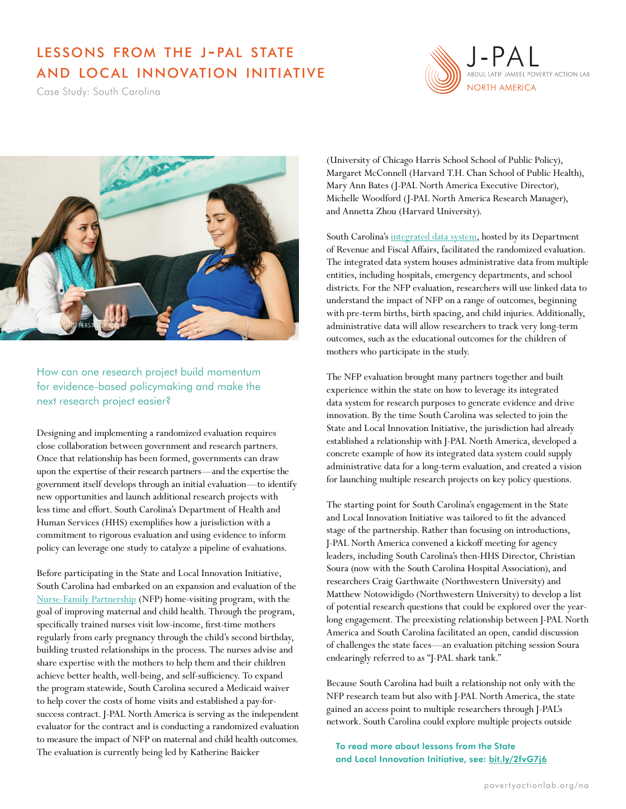## lessons from the j-pal state and local innovation initiative

Case Study: South Carolina





How can one research project build momentum for evidence-based policymaking and make the next research project easier?

Designing and implementing a randomized evaluation requires close collaboration between government and research partners. Once that relationship has been formed, governments can draw upon the expertise of their research partners—and the expertise the government itself develops through an initial evaluation—to identify new opportunities and launch additional research projects with less time and effort. South Carolina's Department of Health and Human Services (HHS) exemplifies how a jurisdiction with a commitment to rigorous evaluation and using evidence to inform policy can leverage one study to catalyze a pipeline of evaluations.

Before participating in the State and Local Innovation Initiative, South Carolina had embarked on an expansion and evaluation of the [Nurse-Family Partnership](https://www.povertyactionlab.org/evaluation/impact-nurse-home-visiting-program-maternal-and-child-health-outcomes-united-states) (NFP) home-visiting program, with the goal of improving maternal and child health. Through the program, specifically trained nurses visit low-income, first-time mothers regularly from early pregnancy through the child's second birthday, building trusted relationships in the process. The nurses advise and share expertise with the mothers to help them and their children achieve better health, well-being, and self-sufficiency. To expand the program statewide, South Carolina secured a Medicaid waiver to help cover the costs of home visits and established a pay-forsuccess contract. J-PAL North America is serving as the independent evaluator for the contract and is conducting a randomized evaluation to measure the impact of NFP on maternal and child health outcomes. The evaluation is currently being led by Katherine Baicker

(University of Chicago Harris School School of Public Policy), Margaret McConnell (Harvard T.H. Chan School of Public Health), Mary Ann Bates (J-PAL North America Executive Director), Michelle Woodford (J-PAL North America Research Manager), and Annetta Zhou (Harvard University).

South Carolina's [integrated data system](https://www.aisp.upenn.edu/wp-content/uploads/2015/08/SouthCarolina_CaseStudy.pdf), hosted by its Department of Revenue and Fiscal Affairs, facilitated the randomized evaluation. The integrated data system houses administrative data from multiple entities, including hospitals, emergency departments, and school districts. For the NFP evaluation, researchers will use linked data to understand the impact of NFP on a range of outcomes, beginning with pre-term births, birth spacing, and child injuries. Additionally, administrative data will allow researchers to track very long-term outcomes, such as the educational outcomes for the children of mothers who participate in the study.

The NFP evaluation brought many partners together and built experience within the state on how to leverage its integrated data system for research purposes to generate evidence and drive innovation. By the time South Carolina was selected to join the State and Local Innovation Initiative, the jurisdiction had already established a relationship with J-PAL North America, developed a concrete example of how its integrated data system could supply administrative data for a long-term evaluation, and created a vision for launching multiple research projects on key policy questions.

The starting point for South Carolina's engagement in the State and Local Innovation Initiative was tailored to fit the advanced stage of the partnership. Rather than focusing on introductions, J-PAL North America convened a kickoff meeting for agency leaders, including South Carolina's then-HHS Director, Christian Soura (now with the South Carolina Hospital Association), and researchers Craig Garthwaite (Northwestern University) and Matthew Notowidigdo (Northwestern University) to develop a list of potential research questions that could be explored over the yearlong engagement. The preexisting relationship between J-PAL North America and South Carolina facilitated an open, candid discussion of challenges the state faces—an evaluation pitching session Soura endearingly referred to as "J-PAL shark tank."

Because South Carolina had built a relationship not only with the NFP research team but also with J-PAL North America, the state gained an access point to multiple researchers through J-PAL's network. South Carolina could explore multiple projects outside

To read more about lessons from the State and Local Innovation Initiative, see: [bit.ly/2fvG7j6](http://bit.ly/2fvG7j6)